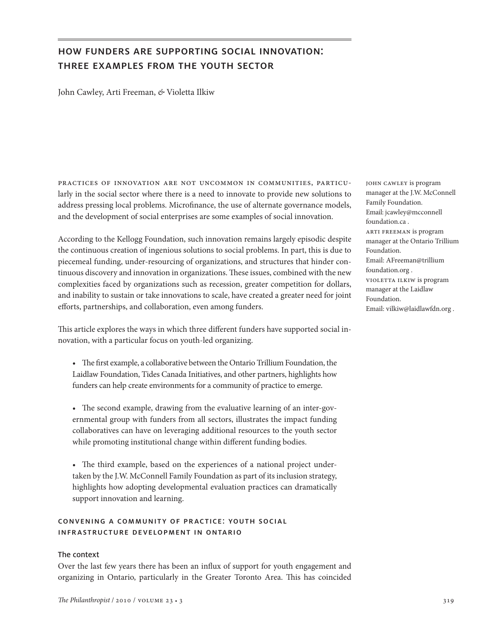# how funders are supporting social innovation: three examples from the youth sector

John Cawley, Arti Freeman, *&* Violetta Ilkiw

practices of innovation are not uncommon in communities, particularly in the social sector where there is a need to innovate to provide new solutions to address pressing local problems. Microfinance, the use of alternate governance models, and the development of social enterprises are some examples of social innovation.

According to the Kellogg Foundation, such innovation remains largely episodic despite the continuous creation of ingenious solutions to social problems. In part, this is due to piecemeal funding, under-resourcing of organizations, and structures that hinder continuous discovery and innovation in organizations. These issues, combined with the new complexities faced by organizations such as recession, greater competition for dollars, and inability to sustain or take innovations to scale, have created a greater need for joint efforts, partnerships, and collaboration, even among funders.

This article explores the ways in which three different funders have supported social innovation, with a particular focus on youth-led organizing.

- • The first example, a collaborative between the Ontario Trillium Foundation, the Laidlaw Foundation, Tides Canada Initiatives, and other partners, highlights how funders can help create environments for a community of practice to emerge.
- The second example, drawing from the evaluative learning of an inter-governmental group with funders from all sectors, illustrates the impact funding collaboratives can have on leveraging additional resources to the youth sector while promoting institutional change within different funding bodies.
- The third example, based on the experiences of a national project undertaken by the J.W. McConnell Family Foundation as part of its inclusion strategy, highlights how adopting developmental evaluation practices can dramatically support innovation and learning.

# convening a community of practice: youth social infrastructure development in ontario

#### The context

Over the last few years there has been an influx of support for youth engagement and organizing in Ontario, particularly in the Greater Toronto Area. This has coincided john cawley is program manager at the J.W. McConnell Family Foundation. Email: jcawley@mcconnell foundation.ca . arti freeman is program manager at the Ontario Trillium Foundation. Email: AFreeman@trillium foundation.org . violetta ilkiw is program manager at the Laidlaw Foundation. Email: vilkiw@laidlawfdn.org .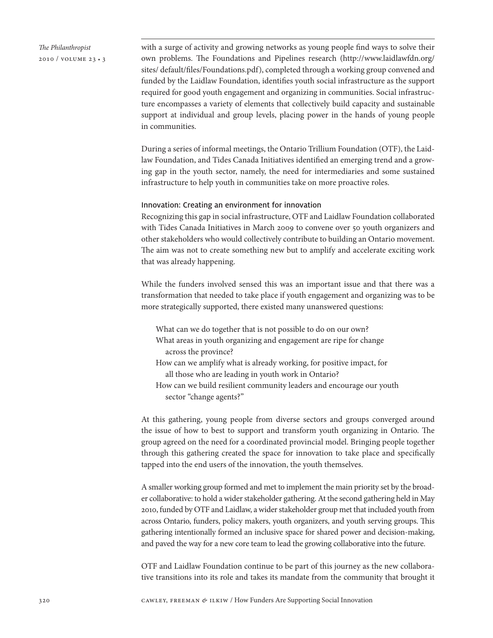

with a surge of activity and growing networks as young people find ways to solve their own problems. The Foundations and Pipelines research (http://www.laidlawfdn.org/ sites/ default/files/Foundations.pdf), completed through a working group convened and funded by the Laidlaw Foundation, identifies youth social infrastructure as the support required for good youth engagement and organizing in communities. Social infrastructure encompasses a variety of elements that collectively build capacity and sustainable support at individual and group levels, placing power in the hands of young people in communities.

During a series of informal meetings, the Ontario Trillium Foundation (OTF), the Laidlaw Foundation, and Tides Canada Initiatives identified an emerging trend and a growing gap in the youth sector, namely, the need for intermediaries and some sustained infrastructure to help youth in communities take on more proactive roles.

#### Innovation: Creating an environment for innovation

Recognizing this gap in social infrastructure, OTF and Laidlaw Foundation collaborated with Tides Canada Initiatives in March 2009 to convene over 50 youth organizers and other stakeholders who would collectively contribute to building an Ontario movement. The aim was not to create something new but to amplify and accelerate exciting work that was already happening.

While the funders involved sensed this was an important issue and that there was a transformation that needed to take place if youth engagement and organizing was to be more strategically supported, there existed many unanswered questions:

- What can we do together that is not possible to do on our own? What areas in youth organizing and engagement are ripe for change across the province?
- How can we amplify what is already working, for positive impact, for all those who are leading in youth work in Ontario?
- How can we build resilient community leaders and encourage our youth sector "change agents?"

At this gathering, young people from diverse sectors and groups converged around the issue of how to best to support and transform youth organizing in Ontario. The group agreed on the need for a coordinated provincial model. Bringing people together through this gathering created the space for innovation to take place and specifically tapped into the end users of the innovation, the youth themselves.

A smaller working group formed and met to implement the main priority set by the broader collaborative: to hold a wider stakeholder gathering. At the second gathering held in May 2010, funded by OTF and Laidlaw, a wider stakeholder group met that included youth from across Ontario, funders, policy makers, youth organizers, and youth serving groups. This gathering intentionally formed an inclusive space for shared power and decision-making, and paved the way for a new core team to lead the growing collaborative into the future.

OTF and Laidlaw Foundation continue to be part of this journey as the new collaborative transitions into its role and takes its mandate from the community that brought it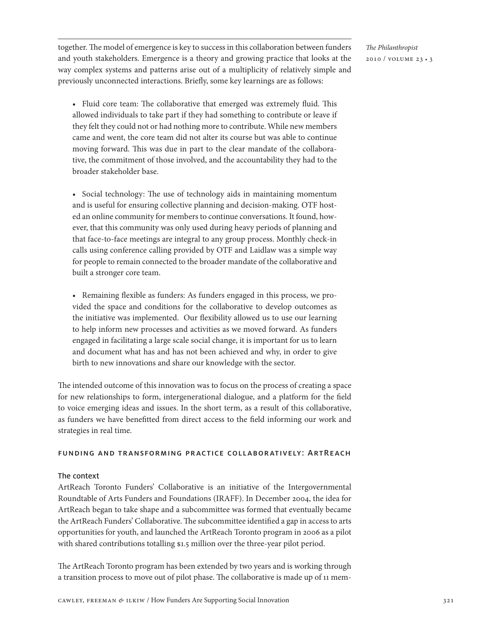together. The model of emergence is key to success in this collaboration between funders and youth stakeholders. Emergence is a theory and growing practice that looks at the way complex systems and patterns arise out of a multiplicity of relatively simple and previously unconnected interactions. Briefly, some key learnings are as follows:

• Fluid core team: The collaborative that emerged was extremely fluid. This allowed individuals to take part if they had something to contribute or leave if they felt they could not or had nothing more to contribute. While new members came and went, the core team did not alter its course but was able to continue moving forward. This was due in part to the clear mandate of the collaborative, the commitment of those involved, and the accountability they had to the broader stakeholder base.

• Social technology: The use of technology aids in maintaining momentum and is useful for ensuring collective planning and decision-making. OTF hosted an online community for members to continue conversations. It found, however, that this community was only used during heavy periods of planning and that face-to-face meetings are integral to any group process. Monthly check-in calls using conference calling provided by OTF and Laidlaw was a simple way for people to remain connected to the broader mandate of the collaborative and built a stronger core team.

• Remaining flexible as funders: As funders engaged in this process, we provided the space and conditions for the collaborative to develop outcomes as the initiative was implemented. Our flexibility allowed us to use our learning to help inform new processes and activities as we moved forward. As funders engaged in facilitating a large scale social change, it is important for us to learn and document what has and has not been achieved and why, in order to give birth to new innovations and share our knowledge with the sector.

The intended outcome of this innovation was to focus on the process of creating a space for new relationships to form, intergenerational dialogue, and a platform for the field to voice emerging ideas and issues. In the short term, as a result of this collaborative, as funders we have benefitted from direct access to the field informing our work and strategies in real time.

#### funding and transforming practice collaboratively: ArtReach

# The context

ArtReach Toronto Funders' Collaborative is an initiative of the Intergovernmental Roundtable of Arts Funders and Foundations (IRAFF). In December 2004, the idea for ArtReach began to take shape and a subcommittee was formed that eventually became the ArtReach Funders' Collaborative. The subcommittee identified a gap in access to arts opportunities for youth, and launched the ArtReach Toronto program in 2006 as a pilot with shared contributions totalling \$1.5 million over the three-year pilot period.

The ArtReach Toronto program has been extended by two years and is working through a transition process to move out of pilot phase. The collaborative is made up of 11 mem*The Philanthropist* 2010 / volume 23 • 3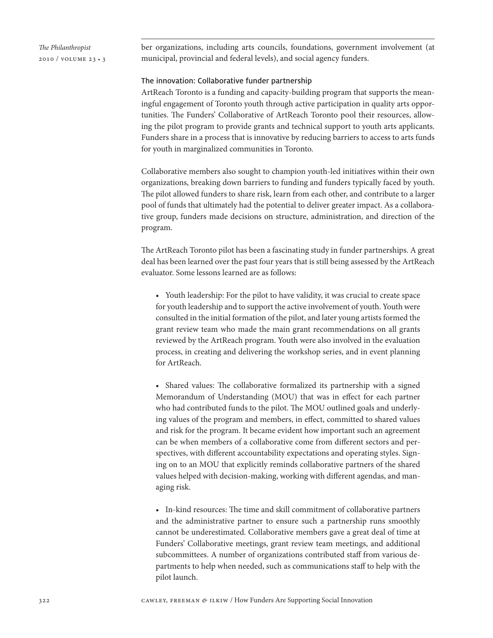*The Philanthropist* 2010 / volume 23 • 3 ber organizations, including arts councils, foundations, government involvement (at municipal, provincial and federal levels), and social agency funders.

#### The innovation: Collaborative funder partnership

ArtReach Toronto is a funding and capacity-building program that supports the meaningful engagement of Toronto youth through active participation in quality arts opportunities. The Funders' Collaborative of ArtReach Toronto pool their resources, allowing the pilot program to provide grants and technical support to youth arts applicants. Funders share in a process that is innovative by reducing barriers to access to arts funds for youth in marginalized communities in Toronto.

Collaborative members also sought to champion youth-led initiatives within their own organizations, breaking down barriers to funding and funders typically faced by youth. The pilot allowed funders to share risk, learn from each other, and contribute to a larger pool of funds that ultimately had the potential to deliver greater impact. As a collaborative group, funders made decisions on structure, administration, and direction of the program.

The ArtReach Toronto pilot has been a fascinating study in funder partnerships. A great deal has been learned over the past four years that is still being assessed by the ArtReach evaluator. Some lessons learned are as follows:

• Youth leadership: For the pilot to have validity, it was crucial to create space for youth leadership and to support the active involvement of youth. Youth were consulted in the initial formation of the pilot, and later young artists formed the grant review team who made the main grant recommendations on all grants reviewed by the ArtReach program. Youth were also involved in the evaluation process, in creating and delivering the workshop series, and in event planning for ArtReach.

• Shared values: The collaborative formalized its partnership with a signed Memorandum of Understanding (MOU) that was in effect for each partner who had contributed funds to the pilot. The MOU outlined goals and underlying values of the program and members, in effect, committed to shared values and risk for the program. It became evident how important such an agreement can be when members of a collaborative come from different sectors and perspectives, with different accountability expectations and operating styles. Signing on to an MOU that explicitly reminds collaborative partners of the shared values helped with decision-making, working with different agendas, and managing risk.

• In-kind resources: The time and skill commitment of collaborative partners and the administrative partner to ensure such a partnership runs smoothly cannot be underestimated. Collaborative members gave a great deal of time at Funders' Collaborative meetings, grant review team meetings, and additional subcommittees. A number of organizations contributed staff from various departments to help when needed, such as communications staff to help with the pilot launch.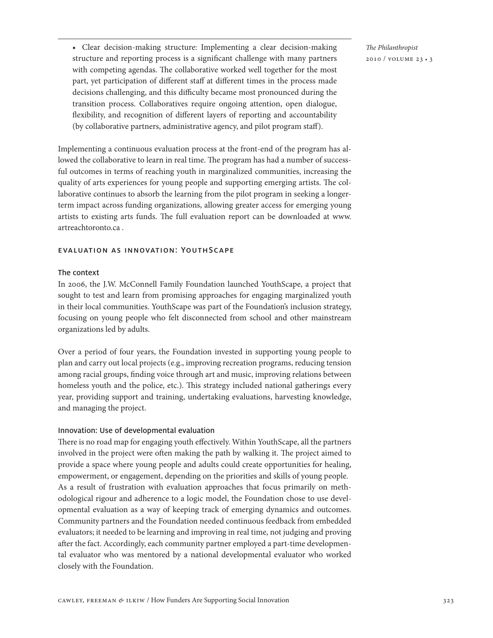• Clear decision-making structure: Implementing a clear decision-making structure and reporting process is a significant challenge with many partners with competing agendas. The collaborative worked well together for the most part, yet participation of different staff at different times in the process made decisions challenging, and this difficulty became most pronounced during the transition process. Collaboratives require ongoing attention, open dialogue, flexibility, and recognition of different layers of reporting and accountability (by collaborative partners, administrative agency, and pilot program staff).

Implementing a continuous evaluation process at the front-end of the program has allowed the collaborative to learn in real time. The program has had a number of successful outcomes in terms of reaching youth in marginalized communities, increasing the quality of arts experiences for young people and supporting emerging artists. The collaborative continues to absorb the learning from the pilot program in seeking a longerterm impact across funding organizations, allowing greater access for emerging young artists to existing arts funds. The full evaluation report can be downloaded at www. artreachtoronto.ca .

# evaluation as innovation: YouthScape

### The context

In 2006, the J.W. McConnell Family Foundation launched YouthScape, a project that sought to test and learn from promising approaches for engaging marginalized youth in their local communities. YouthScape was part of the Foundation's inclusion strategy, focusing on young people who felt disconnected from school and other mainstream organizations led by adults.

Over a period of four years, the Foundation invested in supporting young people to plan and carry out local projects (e.g., improving recreation programs, reducing tension among racial groups, finding voice through art and music, improving relations between homeless youth and the police, etc.). This strategy included national gatherings every year, providing support and training, undertaking evaluations, harvesting knowledge, and managing the project.

# Innovation: Use of developmental evaluation

There is no road map for engaging youth effectively. Within YouthScape, all the partners involved in the project were often making the path by walking it. The project aimed to provide a space where young people and adults could create opportunities for healing, empowerment, or engagement, depending on the priorities and skills of young people. As a result of frustration with evaluation approaches that focus primarily on methodological rigour and adherence to a logic model, the Foundation chose to use developmental evaluation as a way of keeping track of emerging dynamics and outcomes. Community partners and the Foundation needed continuous feedback from embedded evaluators; it needed to be learning and improving in real time, not judging and proving after the fact. Accordingly, each community partner employed a part-time developmental evaluator who was mentored by a national developmental evaluator who worked closely with the Foundation.

*The Philanthropist* 2010 / volume 23 • 3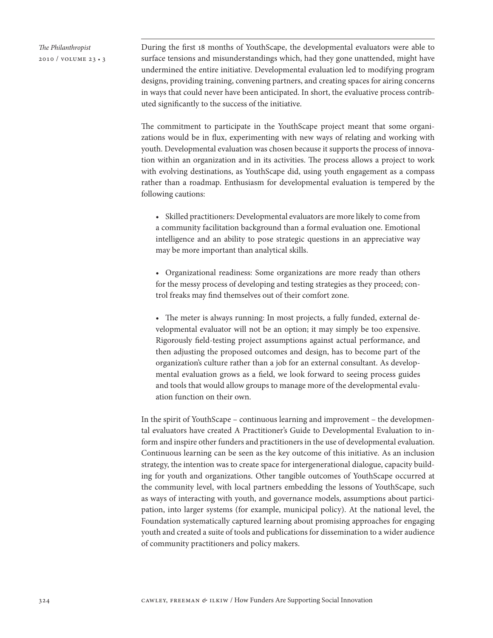*The Philanthropist* 2010 / volume 23 • 3 During the first 18 months of YouthScape, the developmental evaluators were able to surface tensions and misunderstandings which, had they gone unattended, might have undermined the entire initiative. Developmental evaluation led to modifying program designs, providing training, convening partners, and creating spaces for airing concerns in ways that could never have been anticipated. In short, the evaluative process contributed significantly to the success of the initiative.

The commitment to participate in the YouthScape project meant that some organizations would be in flux, experimenting with new ways of relating and working with youth. Developmental evaluation was chosen because it supports the process of innovation within an organization and in its activities. The process allows a project to work with evolving destinations, as YouthScape did, using youth engagement as a compass rather than a roadmap. Enthusiasm for developmental evaluation is tempered by the following cautions:

• Skilled practitioners: Developmental evaluators are more likely to come from a community facilitation background than a formal evaluation one. Emotional intelligence and an ability to pose strategic questions in an appreciative way may be more important than analytical skills.

• Organizational readiness: Some organizations are more ready than others for the messy process of developing and testing strategies as they proceed; control freaks may find themselves out of their comfort zone.

• The meter is always running: In most projects, a fully funded, external developmental evaluator will not be an option; it may simply be too expensive. Rigorously field-testing project assumptions against actual performance, and then adjusting the proposed outcomes and design, has to become part of the organization's culture rather than a job for an external consultant. As developmental evaluation grows as a field, we look forward to seeing process guides and tools that would allow groups to manage more of the developmental evaluation function on their own.

In the spirit of YouthScape – continuous learning and improvement – the developmental evaluators have created A Practitioner's Guide to Developmental Evaluation to inform and inspire other funders and practitioners in the use of developmental evaluation. Continuous learning can be seen as the key outcome of this initiative. As an inclusion strategy, the intention was to create space for intergenerational dialogue, capacity building for youth and organizations. Other tangible outcomes of YouthScape occurred at the community level, with local partners embedding the lessons of YouthScape, such as ways of interacting with youth, and governance models, assumptions about participation, into larger systems (for example, municipal policy). At the national level, the Foundation systematically captured learning about promising approaches for engaging youth and created a suite of tools and publications for dissemination to a wider audience of community practitioners and policy makers.